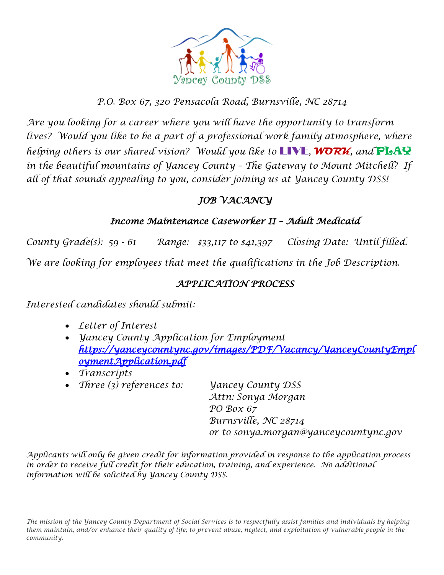

#### *P.O. Box 67, 320 Pensacola Road, Burnsville, NC 28714*

*Are you looking for a career where you will have the opportunity to transform* lives? Would you like to be a part of a professional work family atmosphere, where *helping others is our shared vision? Would you like to* LIVE*,* **WORK***, and* PLAY *in the beautiful mountains of Yancey County – The Gateway to Mount Mitchell? If all of that sounds appealing to you, consider joining us at Yancey County DSS!* 

## *JOB VACANCY*

### *Income Maintenance Caseworker II – Adult Medicaid*

*County Grade(s): 59 - 61 Range: \$33,117 to \$41,397 Closing Date: Until filled.*

*We are looking for employees that meet the qualifications in the Job Description.*

### *APPLICATION PROCESS*

*Interested candidates should submit:*

- *Letter of Interest*
- *Yancey County Application for Employment [https://yanceycountync.gov/images/PDF/Vacancy/YanceyCountyEmpl](https://yanceycountync.gov/images/PDF/Vacancy/YanceyCountyEmploymentApplication.pdf) [oymentApplication.pdf](https://yanceycountync.gov/images/PDF/Vacancy/YanceyCountyEmploymentApplication.pdf)*
- *Transcripts*
- *Three (3) references to: Yancey County DSS*

*Attn: Sonya Morgan PO Box 67 Burnsville, NC 28714 or to sonya.morgan@yanceycountync.gov*

*Applicants will only be given credit for information provided in response to the application process in order to receive full credit for their education, training, and experience. No additional information will be solicited by Yancey County DSS.*

*The mission of the Yancey County Department of Social Services is to respectfully assist families and individuals by helping them maintain, and/or enhance their quality of life; to prevent abuse, neglect, and exploitation of vulnerable people in the community.*